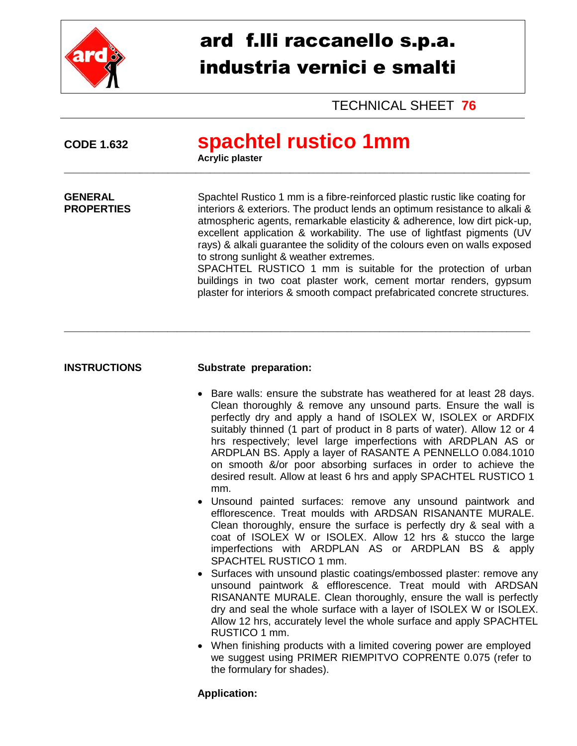

# ard f.lli raccanello s.p.a. industria vernici e smalti

TECHNICAL SHEET **76**

## **CODE 1.632 spachtel rustico 1mm**

\_\_\_\_\_\_\_\_\_\_\_\_\_\_\_\_\_\_\_\_\_\_\_\_\_\_\_\_\_\_\_\_\_\_\_\_\_\_\_\_\_\_\_\_\_\_\_\_\_\_\_\_\_\_\_\_\_\_\_\_\_\_\_\_\_\_\_\_\_\_\_\_\_\_\_\_\_\_\_\_\_\_\_\_\_\_\_\_\_\_\_\_\_\_\_\_\_\_\_

\_\_\_\_\_\_\_\_\_\_\_\_\_\_\_\_\_\_\_\_\_\_\_\_\_\_\_\_\_\_\_\_\_\_\_\_\_\_\_\_\_\_\_\_\_\_\_\_\_\_\_\_\_\_\_\_\_\_\_\_\_\_\_\_\_\_\_\_\_\_\_\_\_\_\_\_\_\_\_\_\_\_\_\_\_\_\_\_\_\_\_\_\_\_\_\_\_\_\_

**Acrylic plaster** 

**GENERAL** Spachtel Rustico 1 mm is a fibre-reinforced plastic rustic like coating for<br> **PROPERTIES** interiors & exteriors. The product lends an optimum resistance to alkali & interiors & exteriors. The product lends an optimum resistance to alkali & atmospheric agents, remarkable elasticity & adherence, low dirt pick-up, excellent application & workability. The use of lightfast pigments (UV rays) & alkali guarantee the solidity of the colours even on walls exposed to strong sunlight & weather extremes.

SPACHTEL RUSTICO 1 mm is suitable for the protection of urban buildings in two coat plaster work, cement mortar renders, gypsum plaster for interiors & smooth compact prefabricated concrete structures.

#### **INSTRUCTIONS Substrate preparation:**

- Bare walls: ensure the substrate has weathered for at least 28 days. Clean thoroughly & remove any unsound parts. Ensure the wall is perfectly dry and apply a hand of ISOLEX W, ISOLEX or ARDFIX suitably thinned (1 part of product in 8 parts of water). Allow 12 or 4 hrs respectively; level large imperfections with ARDPLAN AS or ARDPLAN BS. Apply a layer of RASANTE A PENNELLO 0.084.1010 on smooth &/or poor absorbing surfaces in order to achieve the desired result. Allow at least 6 hrs and apply SPACHTEL RUSTICO 1 mm.
- Unsound painted surfaces: remove any unsound paintwork and efflorescence. Treat moulds with ARDSAN RISANANTE MURALE. Clean thoroughly, ensure the surface is perfectly dry & seal with a coat of ISOLEX W or ISOLEX. Allow 12 hrs & stucco the large imperfections with ARDPLAN AS or ARDPLAN BS & apply SPACHTEL RUSTICO 1 mm.
- Surfaces with unsound plastic coatings/embossed plaster: remove any unsound paintwork & efflorescence. Treat mould with ARDSAN RISANANTE MURALE. Clean thoroughly, ensure the wall is perfectly dry and seal the whole surface with a layer of ISOLEX W or ISOLEX. Allow 12 hrs, accurately level the whole surface and apply SPACHTEL RUSTICO 1 mm.
- When finishing products with a limited covering power are employed we suggest using PRIMER RIEMPITVO COPRENTE 0.075 (refer to the formulary for shades).

### **Application:**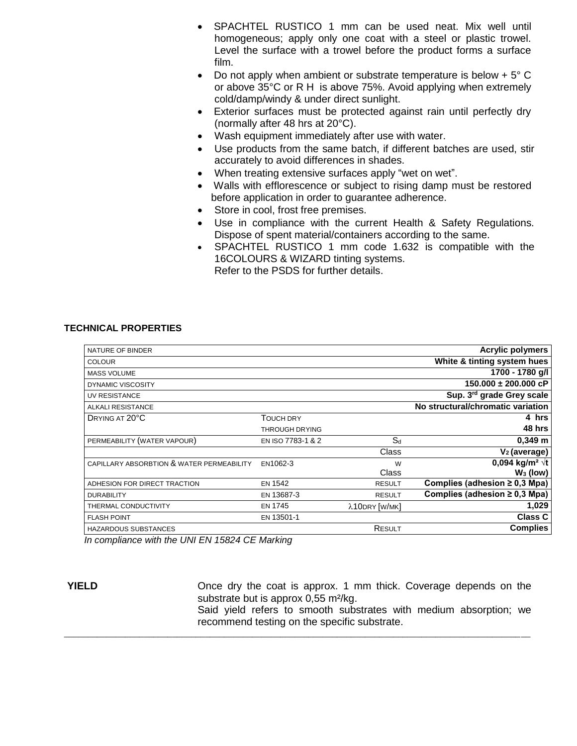- SPACHTEL RUSTICO 1 mm can be used neat. Mix well until homogeneous; apply only one coat with a steel or plastic trowel. Level the surface with a trowel before the product forms a surface film.
- Do not apply when ambient or substrate temperature is below  $+5^{\circ}$  C or above 35°C or R H is above 75%. Avoid applying when extremely cold/damp/windy & under direct sunlight.
- Exterior surfaces must be protected against rain until perfectly dry (normally after 48 hrs at 20°C).
- Wash equipment immediately after use with water.
- Use products from the same batch, if different batches are used, stir accurately to avoid differences in shades.
- When treating extensive surfaces apply "wet on wet".
- Walls with efflorescence or subject to rising damp must be restored before application in order to guarantee adherence.
- Store in cool, frost free premises.
- Use in compliance with the current Health & Safety Regulations. Dispose of spent material/containers according to the same.
- SPACHTEL RUSTICO 1 mm code 1.632 is compatible with the 16COLOURS & WIZARD tinting systems. Refer to the PSDS for further details.

#### **TECHNICAL PROPERTIES**

| NATURE OF BINDER                          |                       |               | <b>Acrylic polymers</b>            |
|-------------------------------------------|-----------------------|---------------|------------------------------------|
| <b>COLOUR</b>                             |                       |               | White & tinting system hues        |
| <b>MASS VOLUME</b>                        |                       |               | 1700 - 1780 g/l                    |
| <b>DYNAMIC VISCOSITY</b>                  |                       |               | $150.000 \pm 200.000$ cP           |
| <b>UV RESISTANCE</b>                      |                       |               | Sup. 3rd grade Grey scale          |
| ALKALI RESISTANCE                         |                       |               | No structural/chromatic variation  |
| DRYING AT 20°C                            | <b>TOUCH DRY</b>      |               | 4 hrs                              |
|                                           | <b>THROUGH DRYING</b> |               | 48 hrs                             |
| PERMEABILITY (WATER VAPOUR)               | EN ISO 7783-1 & 2     | $S_d$         | $0,349 \; m$                       |
|                                           |                       | Class         | $V2$ (average)                     |
| CAPILLARY ABSORBTION & WATER PERMEABILITY | EN1062-3              | W             | 0,094 kg/m <sup>2</sup> $\sqrt{t}$ |
|                                           |                       | Class         | $W_3$ (low)                        |
| ADHESION FOR DIRECT TRACTION              | <b>EN 1542</b>        | <b>RESULT</b> | Complies (adhesion $\geq$ 0,3 Mpa) |
| <b>DURABILITY</b>                         | EN 13687-3            | <b>RESULT</b> | Complies (adhesion $\geq$ 0,3 Mpa) |
| THERMAL CONDUCTIVITY                      | <b>EN 1745</b>        | λ10DRY [W/MK] | 1,029                              |
| <b>FLASH POINT</b>                        | EN 13501-1            |               | <b>Class C</b>                     |
| <b>HAZARDOUS SUBSTANCES</b>               |                       | <b>RESULT</b> | <b>Complies</b>                    |
|                                           |                       |               |                                    |

\_\_\_\_\_\_\_\_\_\_\_\_\_\_\_\_\_\_\_\_\_\_\_\_\_\_\_\_\_\_\_\_\_\_\_\_\_\_\_\_\_\_\_\_\_\_\_\_\_\_\_\_\_\_\_\_\_\_\_\_\_\_\_\_\_\_\_\_\_\_\_\_\_\_\_\_\_\_\_\_\_\_\_\_\_\_\_\_\_\_\_\_\_\_\_\_\_\_\_

*In compliance with the UNI EN 15824 CE Marking*

**YIELD Conce dry the coat is approx.** 1 mm thick. Coverage depends on the substrate but is approx 0,55 m<sup>2</sup>/kg.

Said yield refers to smooth substrates with medium absorption; we recommend testing on the specific substrate.